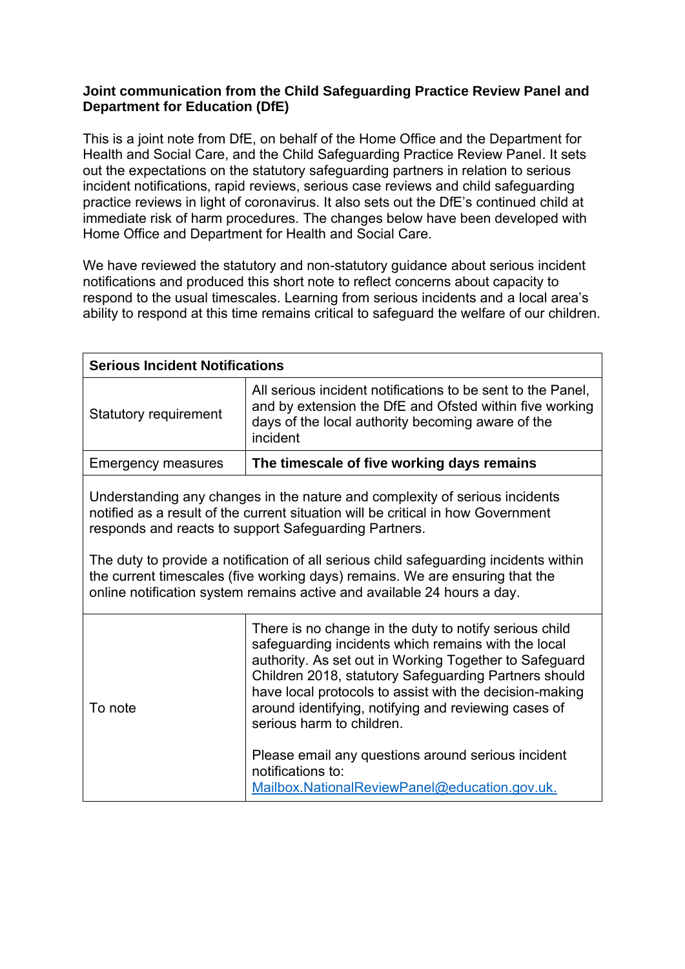## **Joint communication from the Child Safeguarding Practice Review Panel and Department for Education (DfE)**

This is a joint note from DfE, on behalf of the Home Office and the Department for Health and Social Care, and the Child Safeguarding Practice Review Panel. It sets out the expectations on the statutory safeguarding partners in relation to serious incident notifications, rapid reviews, serious case reviews and child safeguarding practice reviews in light of coronavirus. It also sets out the DfE's continued child at immediate risk of harm procedures. The changes below have been developed with Home Office and Department for Health and Social Care.

We have reviewed the statutory and non-statutory guidance about serious incident notifications and produced this short note to reflect concerns about capacity to respond to the usual timescales. Learning from serious incidents and a local area's ability to respond at this time remains critical to safeguard the welfare of our children.

| <b>Serious Incident Notifications</b>                                                                                                                                                                                                                                                                                                                                                                                                                                        |                                                                                                                                                                                                                                                                                                                                                                                                                                                                                                              |
|------------------------------------------------------------------------------------------------------------------------------------------------------------------------------------------------------------------------------------------------------------------------------------------------------------------------------------------------------------------------------------------------------------------------------------------------------------------------------|--------------------------------------------------------------------------------------------------------------------------------------------------------------------------------------------------------------------------------------------------------------------------------------------------------------------------------------------------------------------------------------------------------------------------------------------------------------------------------------------------------------|
| <b>Statutory requirement</b>                                                                                                                                                                                                                                                                                                                                                                                                                                                 | All serious incident notifications to be sent to the Panel,<br>and by extension the DfE and Ofsted within five working<br>days of the local authority becoming aware of the<br>incident                                                                                                                                                                                                                                                                                                                      |
| <b>Emergency measures</b>                                                                                                                                                                                                                                                                                                                                                                                                                                                    | The timescale of five working days remains                                                                                                                                                                                                                                                                                                                                                                                                                                                                   |
| Understanding any changes in the nature and complexity of serious incidents<br>notified as a result of the current situation will be critical in how Government<br>responds and reacts to support Safeguarding Partners.<br>The duty to provide a notification of all serious child safeguarding incidents within<br>the current timescales (five working days) remains. We are ensuring that the<br>online notification system remains active and available 24 hours a day. |                                                                                                                                                                                                                                                                                                                                                                                                                                                                                                              |
| To note                                                                                                                                                                                                                                                                                                                                                                                                                                                                      | There is no change in the duty to notify serious child<br>safeguarding incidents which remains with the local<br>authority. As set out in Working Together to Safeguard<br>Children 2018, statutory Safeguarding Partners should<br>have local protocols to assist with the decision-making<br>around identifying, notifying and reviewing cases of<br>serious harm to children.<br>Please email any questions around serious incident<br>notifications to:<br>Mailbox.NationalReviewPanel@education.gov.uk. |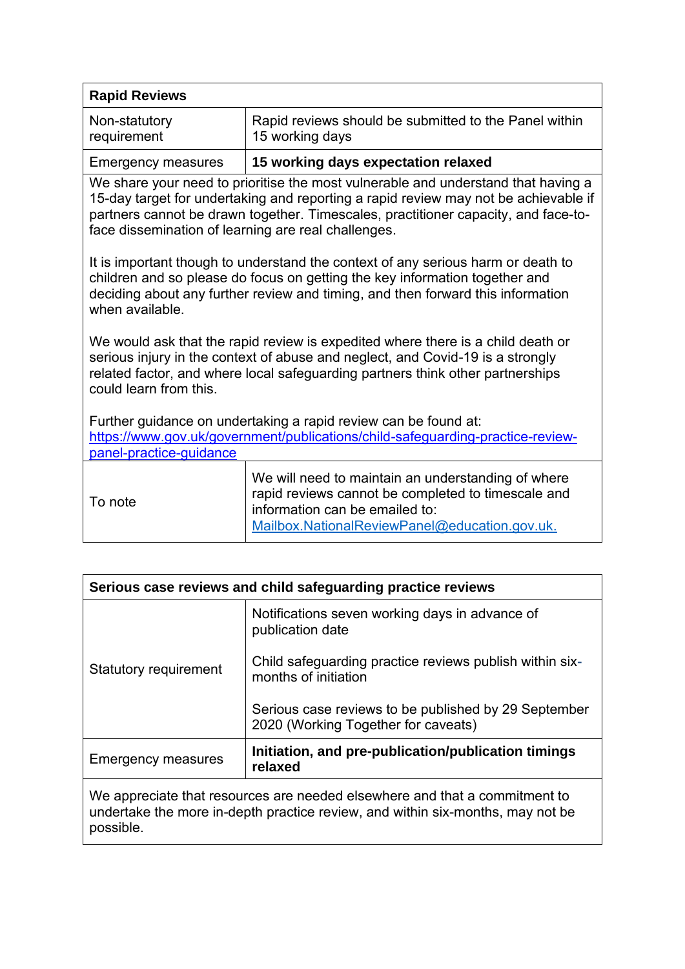| <b>Rapid Reviews</b>                                                                                                                                                                                                                                                                                                  |                                                                                                                                                                                             |  |
|-----------------------------------------------------------------------------------------------------------------------------------------------------------------------------------------------------------------------------------------------------------------------------------------------------------------------|---------------------------------------------------------------------------------------------------------------------------------------------------------------------------------------------|--|
| Non-statutory<br>requirement                                                                                                                                                                                                                                                                                          | Rapid reviews should be submitted to the Panel within<br>15 working days                                                                                                                    |  |
| <b>Emergency measures</b>                                                                                                                                                                                                                                                                                             | 15 working days expectation relaxed                                                                                                                                                         |  |
| We share your need to prioritise the most vulnerable and understand that having a<br>15-day target for undertaking and reporting a rapid review may not be achievable if<br>partners cannot be drawn together. Timescales, practitioner capacity, and face-to-<br>face dissemination of learning are real challenges. |                                                                                                                                                                                             |  |
| It is important though to understand the context of any serious harm or death to<br>children and so please do focus on getting the key information together and<br>deciding about any further review and timing, and then forward this information<br>when available.                                                 |                                                                                                                                                                                             |  |
| We would ask that the rapid review is expedited where there is a child death or<br>serious injury in the context of abuse and neglect, and Covid-19 is a strongly<br>related factor, and where local safeguarding partners think other partnerships<br>could learn from this.                                         |                                                                                                                                                                                             |  |
| Further guidance on undertaking a rapid review can be found at:<br>https://www.gov.uk/government/publications/child-safeguarding-practice-review-<br>panel-practice-quidance                                                                                                                                          |                                                                                                                                                                                             |  |
| To note                                                                                                                                                                                                                                                                                                               | We will need to maintain an understanding of where<br>rapid reviews cannot be completed to timescale and<br>information can be emailed to:<br>Mailbox.NationalReviewPanel@education.gov.uk. |  |

| Serious case reviews and child safeguarding practice reviews                                                                                                              |                                                                                             |
|---------------------------------------------------------------------------------------------------------------------------------------------------------------------------|---------------------------------------------------------------------------------------------|
| <b>Statutory requirement</b>                                                                                                                                              | Notifications seven working days in advance of<br>publication date                          |
|                                                                                                                                                                           | Child safeguarding practice reviews publish within six-<br>months of initiation             |
|                                                                                                                                                                           | Serious case reviews to be published by 29 September<br>2020 (Working Together for caveats) |
| <b>Emergency measures</b>                                                                                                                                                 | Initiation, and pre-publication/publication timings<br>relaxed                              |
| We appreciate that resources are needed elsewhere and that a commitment to<br>undertake the more in-depth practice review, and within six-months, may not be<br>possible. |                                                                                             |